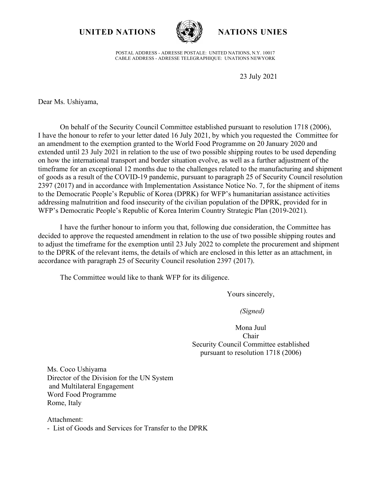**UNITED NATIONS NATIONS UNIES**



POSTAL ADDRESS - ADRESSE POSTALE: UNITED NATIONS, N.Y. 10017 CABLE ADDRESS - ADRESSE TELEGRAPHIQUE: UNATIONS NEWYORK

23 July 2021

Dear Ms. Ushiyama,

On behalf of the Security Council Committee established pursuant to resolution 1718 (2006), I have the honour to refer to your letter dated 16 July 2021, by which you requested the Committee for an amendment to the exemption granted to the World Food Programme on 20 January 2020 and extended until 23 July 2021 in relation to the use of two possible shipping routes to be used depending on how the international transport and border situation evolve, as well as a further adjustment of the timeframe for an exceptional 12 months due to the challenges related to the manufacturing and shipment of goods as a result of the COVID-19 pandemic, pursuant to paragraph 25 of Security Council resolution 2397 (2017) and in accordance with Implementation Assistance Notice No. 7, for the shipment of items to the Democratic People's Republic of Korea (DPRK) for WFP's humanitarian assistance activities addressing malnutrition and food insecurity of the civilian population of the DPRK, provided for in WFP's Democratic People's Republic of Korea Interim Country Strategic Plan (2019-2021).

I have the further honour to inform you that, following due consideration, the Committee has decided to approve the requested amendment in relation to the use of two possible shipping routes and to adjust the timeframe for the exemption until 23 July 2022 to complete the procurement and shipment to the DPRK of the relevant items, the details of which are enclosed in this letter as an attachment, in accordance with paragraph 25 of Security Council resolution 2397 (2017).

The Committee would like to thank WFP for its diligence.

Yours sincerely,

*(Signed)*

Mona Juul Chair Security Council Committee established pursuant to resolution 1718 (2006)

Ms. Coco Ushiyama Director of the Division for the UN System and Multilateral Engagement Word Food Programme Rome, Italy

Attachment: - List of Goods and Services for Transfer to the DPRK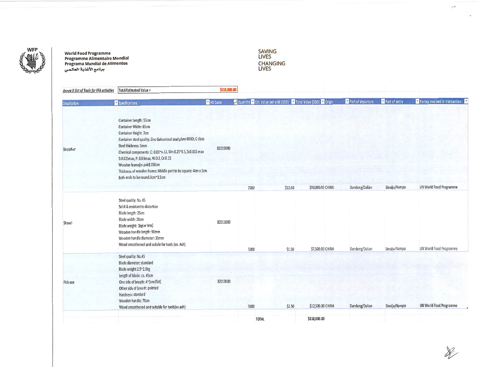

World Food Programme<br>Programme Alimentaire Mondial<br>Programa Mundial de Alimentos<br>برنامج الأغذية العالمي

Saving<br>Lives **CHANGING**<br>LIVES

| Annex II List of Tools for FFA activities | Total Estimated Value =                                                                                                                                                                                                                                                                                                                                                                                               | \$110,000.00   |                                                                     |         |                   |                   |               |                                          |
|-------------------------------------------|-----------------------------------------------------------------------------------------------------------------------------------------------------------------------------------------------------------------------------------------------------------------------------------------------------------------------------------------------------------------------------------------------------------------------|----------------|---------------------------------------------------------------------|---------|-------------------|-------------------|---------------|------------------------------------------|
| <b>Description</b>                        | Specifications                                                                                                                                                                                                                                                                                                                                                                                                        | <b>HS</b> Code | J Quantity Y Est. Value per unit (USD) Y Total Value (USD) Y Origin |         |                   | Port of departure | Port of entry | <b>Y</b> Parties involved in transaction |
| Stretcher                                 | Container Length: 55cm<br>Container Widtn: 65cm<br>Container Height: 7cm<br>Container steel quality: Zinc Galvanized steel plate 08BD, C class<br>Steel thickness: 1mm<br>Chemical components: C: 0.05~0.12, Mn:0.25~0.5, Si:0.015 max<br>S:0.025max, P: 0.03max, Ni:0.3, Cr:0.15<br>Wooden frame(in pair):150cm<br>Thickness of wooden frame: Middle part to be square: 4cm x 5cm<br>Both ends to be round:3cm~3.5cm | 82019090       |                                                                     |         |                   |                   |               |                                          |
|                                           |                                                                                                                                                                                                                                                                                                                                                                                                                       |                | 7500                                                                | \$12.00 | \$90,000.00 CHINA | Dandong/Dalian    | Sinuiju/Nampo | UN World Food Programme                  |
| Shovel                                    | Steel quality: No. 45<br>Solid & resistant to distortion<br>Blade length: 25cm<br>Blade width: 20cm<br>Blade weight: 1kg(or less)<br>Wooden handle length: 90mm<br>Wooden handle diameter: 35mm<br>Wood smoothened and suitale for tools (ex. Ash)                                                                                                                                                                    | 82011000       | 5000                                                                | \$1.50  | \$7,500.00 CHINA  | Dandong/Dalian    | Sinuiju/Nampo | UN World Food Programme                  |
|                                           | Steel quality: No.45<br>Blade diameter: standard<br>Blade weight: 2.5~2.8kg<br>Length of blade: ca. 45cm                                                                                                                                                                                                                                                                                                              |                |                                                                     |         |                   |                   |               |                                          |
| Pick-axe                                  | One side of breath: 4~5cm(flat)<br>Other side of breath: pointed<br>Hardness: standard<br>Wooden handle: 70cm                                                                                                                                                                                                                                                                                                         | 82013000       |                                                                     |         |                   |                   |               |                                          |
|                                           | Wood smoothened and suitable for tools(ex.ash)                                                                                                                                                                                                                                                                                                                                                                        |                | 5000                                                                | \$2.50  | \$12,500.00 CHINA | Dandong/Dalian    | Sinuiju/Nampo | UN World Food Programme                  |
|                                           |                                                                                                                                                                                                                                                                                                                                                                                                                       |                | <b>TOTAL</b>                                                        |         | \$110,000.00      |                   |               |                                          |

 $\widetilde{(\cdot)}$ 

 $\overline{\phantom{a}}$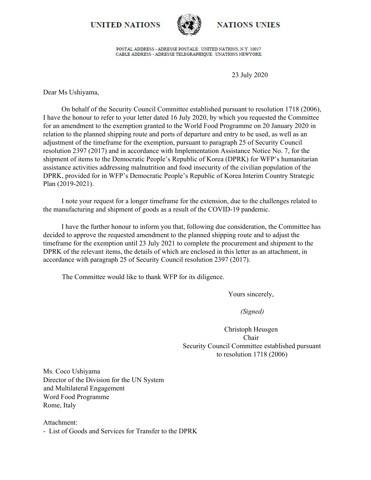**UNITED NATIONS** 



**NATIONS UNIES** 

POSTAL ADDRESS - ADRESSE POSTALE: UNITED NATIONS, N.Y. 10017 CABLE ADDRESS - ADRESSE TELEGRAPHIQUE: UNATIONS NEWYORK

23 July 2020

Dear Ms Ushiyama,

On behalf of the Security Council Committee established pursuant to resolution 1718 (2006), I have the honour to refer to your letter dated 16 July 2020, by which you requested the Committee for an amendment to the exemption granted to the World Food Programme on 20 January 2020 in relation to the planned shipping route and ports of departure and entry to be used, as well as an adjustment of the timeframe for the exemption, pursuant to paragraph 25 of Security Council resolution 2397 (2017) and in accordance with Implementation Assistance Notice No. 7, for the shipment of items to the Democratic People's Republic of Korea (DPRK) for WFP's humanitarian assistance activities addressing malnutrition and food insecurity of the civilian population of the DPRK, provided for in WFP's Democratic People's Republic of Korea Interim Country Strategic Plan (2019-2021).

I note your request for a longer timeframe for the extension, due to the challenges related to the manufacturing and shipment of goods as a result of the COVID-19 pandemic.

I have the further honour to inform you that, following due consideration, the Committee has decided to approve the requested amendment to the planned shipping route and to adjust the timeframe for the exemption until 23 July 2021 to complete the procurement and shipment to the DPRK of the relevant items, the details of which are enclosed in this letter as an attachment, in accordance with paragraph 25 of Security Council resolution 2397 (2017).

The Committee would like to thank WFP for its diligence.

Yours sincerely,

 *(Signed)*

Christoph Heusgen Chair Security Council Committee established pursuant to resolution 1718 (2006)

Ms. Coco Ushiyama Director of the Division for the UN System and Multilateral Engagement Word Food Programme Rome, Italy

Attachment: - List of Goods and Services for Transfer to the DPRK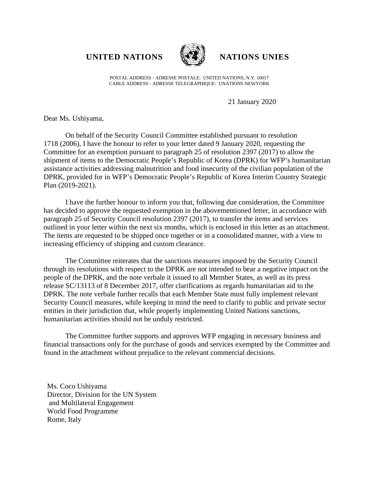## **UNITED NATIONS NATIONS UNIES**



POSTAL ADDRESS - ADRESSE POSTALE: UNITED NATIONS, N.Y. 10017 CABLE ADDRESS - ADRESSE TELEGRAPHIQUE: UNATIONS NEWYORK

21 January 2020

Dear Ms. Ushiyama,

On behalf of the Security Council Committee established pursuant to resolution 1718 (2006), I have the honour to refer to your letter dated 9 January 2020, requesting the Committee for an exemption pursuant to paragraph 25 of resolution 2397 (2017) to allow the shipment of items to the Democratic People's Republic of Korea (DPRK) for WFP's humanitarian assistance activities addressing malnutrition and food insecurity of the civilian population of the DPRK, provided for in WFP's Democratic People's Republic of Korea Interim Country Strategic Plan (2019-2021).

I have the further honour to inform you that, following due consideration, the Committee has decided to approve the requested exemption in the abovementioned letter, in accordance with paragraph 25 of Security Council resolution 2397 (2017), to transfer the items and services outlined in your letter within the next six months, which is enclosed in this letter as an attachment. The items are requested to be shipped once together or in a consolidated manner, with a view to increasing efficiency of shipping and custom clearance.

The Committee reiterates that the sanctions measures imposed by the Security Council through its resolutions with respect to the DPRK are not intended to bear a negative impact on the people of the DPRK, and the note verbale it issued to all Member States, as well as its press release SC/13113 of 8 December 2017, offer clarifications as regards humanitarian aid to the DPRK. The note verbale further recalls that each Member State must fully implement relevant Security Council measures, while keeping in mind the need to clarify to public and private sector entities in their jurisdiction that, while properly implementing United Nations sanctions, humanitarian activities should not be unduly restricted.

The Committee further supports and approves WFP engaging in necessary business and financial transactions only for the purchase of goods and services exempted by the Committee and found in the attachment without prejudice to the relevant commercial decisions.

Ms. Coco Ushiyama Director, Division for the UN System and Multilateral Engagement World Food Programme Rome, Italy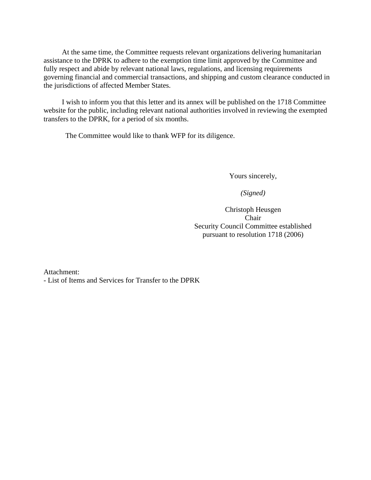At the same time, the Committee requests relevant organizations delivering humanitarian assistance to the DPRK to adhere to the exemption time limit approved by the Committee and fully respect and abide by relevant national laws, regulations, and licensing requirements governing financial and commercial transactions, and shipping and custom clearance conducted in the jurisdictions of affected Member States.

I wish to inform you that this letter and its annex will be published on the 1718 Committee website for the public, including relevant national authorities involved in reviewing the exempted transfers to the DPRK, for a period of six months.

The Committee would like to thank WFP for its diligence.

Yours sincerely,

*(Signed)*

Christoph Heusgen Chair Security Council Committee established pursuant to resolution 1718 (2006)

Attachment: - List of Items and Services for Transfer to the DPRK